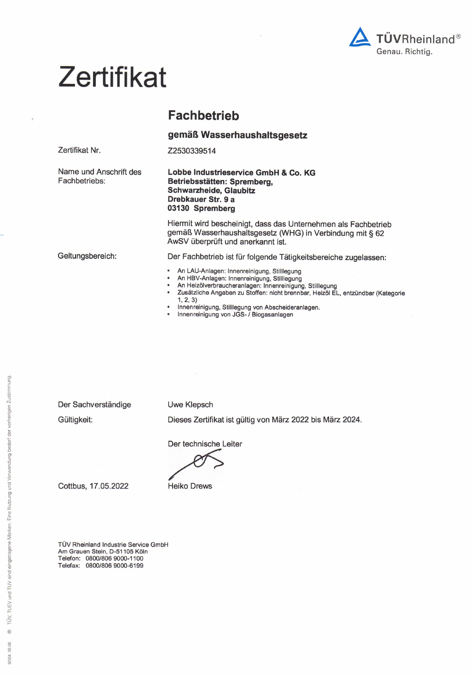

# **Zertifikat**

# **Fachbetrieb**

Z2530339514

gemäß Wasserhaushaltsgesetz

Name und Anschrift des Fachbetriebs:

Zertifikat Nr.

Geltungsbereich:

Lobbe Industrieservice GmbH & Co. KG Betriebsstätten: Spremberg, Schwarzheide, Glaubitz Drebkauer Str. 9 a 03130 Spremberg

Hiermit wird bescheinigt, dass das Unternehmen als Fachbetrieb gemäß Wasserhaushaltsgesetz (WHG) in Verbindung mit § 62 AwSV überprüft und anerkannt ist.

Der Fachbetrieb ist für folgende Tätigkeitsbereiche zugelassen:

- An LAU-Anlagen: Innenreinigung, Stilllegung
- An HBV-Anlagen: Innenreinigung, Stilllegung
- An Heizölverbraucheranlagen: Innenreinigung, Stilllegung
- Zusätzliche Angaben zu Stoffen: nicht brennbar, Heizöl EL, entzündbar (Kategorie  $1, 2, 3)$
- Innenreinigung, Stilllegung von Abscheideranlagen.
- Innenreinigung von JGS- / Biogasanlagen

Der Sachverständige

**Uwe Klepsch** 

Gültigkeit:

Dieses Zertifikat ist gültig von März 2022 bis März 2024.

Der technische Leiter

**Heiko Drews** 

Cottbus, 17.05.2022

TÜV Rheinland Industrie Service GmbH Am Grauen Stein, D-51105 Köln Telefon: 0800/806 9000-1100<br>Telefax: 0800/806 9000-6199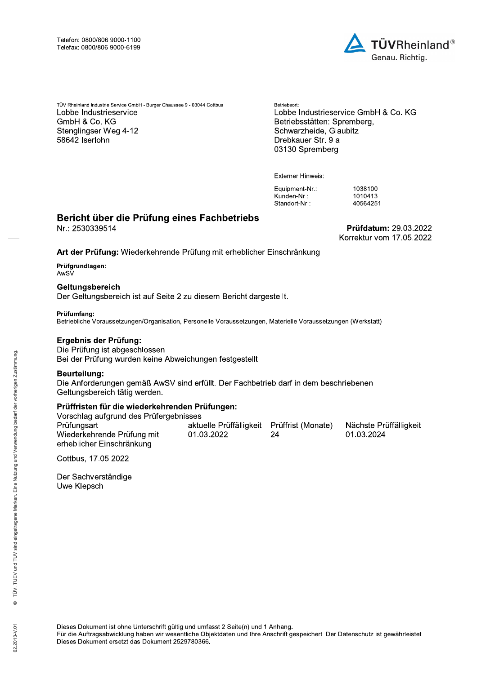

Telefor: 0800/806 9000-1100<br>
Telefax: 0800/806 9000-6199<br>
TV Rheinland Industrie Service GmbH -Burger Chaussee 9 - 03044 Cottbus<br>
Lobbe Industrieservice Lobbe Industriese, Lobbe Industriese<br>
Convariabled e, C. KG<br>
Betrieb GmbH & Co. KG<br>
CombH & Co. KG<br>
Stenglingser Weg 4-12<br>
58642 Iserlohn<br>
1010413<br>
58642 Iserlohn<br>
1010413<br>
58642 Iserlohn<br>
1010413<br>
586425<br>
Externer Hinweis:<br>
Equipment-Nr.:<br>
Externer Hinweis:<br>
Externer Hinweis:<br>
Externer Hin

TÜVRheinlan<br>
Genau. Richtig.<br>
<sup>Betriebsort:</sup><br>
Lobbe Industrieservice GmbH & Co. KG<br>
Betriebsstätten: Spremberg,<br>
Schwarzheide, Glaubitz<br>
Drebkauer Str. 9 a<br>
03130 Spremberg<br>
Externer Hinweis:<br>
Eugunen-Nr.: 1038100<br>
Kunden-Stenglingser Weg 4-12<br>
58642 Iserlohn<br>
58642 Iserlohn<br>
103840<br>
58642 Iserlohn<br>
103840<br>
Externer Hinweis:<br>
Externer Hinweis:<br>
Externer Hinweis:<br>
Externer Hinweis:<br>
Externer Hinweis:<br>
Externer Hinweis:<br>
2684251<br>
2684251<br>
268

# Bericht über die Prüfung eines Fachbetriebs<br>Nr.: 2530339514

# Externer Hinweis:<br>
Equipment-Nr.: 1038100<br>
Kunden-Nr.: 1038100<br>
Standort-Nr.: 1038100<br>
Nr.: 2530339514<br>
Prüfdatum: 29.03.2022<br>
Art der Prüfung: Wiederkehrende Prüfung mit erheblicher Einschränkung<br>
Prüfgrundlagen:<br>
Prüfgru Externer Hinweis:<br>
Equipment-Nr.:<br>
Equipment-Nr.:<br>
Standort-Nr.:<br>
Nr.: 2530339514<br>
Art der Prüfung: Wiederkehrende Prüfung mit erheblicher Einschränkung<br>
Prüfgrundlagen:<br>
Celtungsbereich<br>
Der Geltungsbereich<br>
Der Geltungsb

## Prüfgrundlagen: AwSV

# Geltungsbereich

Frieder, 2530339514<br>
Nr.: 2530339514<br>
Korre<br>
Art der Prüfung: Wiederkehrende Prüfung mit erheblicher Einschränkung<br>
Prüfungulagen:<br>
AwsV<br>
Geltungsbereich<br>
Der Geltungsbereich<br>
Der Geltungsbereich ist auf Seite 2 zu diesem Früfgrundlagen:<br>
AwSV<br>
Geltungsbereich<br>
Der Geltungsbereich ist auf Seite 2 zu diesem Bericht dargestellt.<br>
Prüfumfang:<br>
Betriebliche Voraussetzungen/Organisation, Personelle Voraussetzungen, Materielle Voraussetzungen (We

For Geltungsbereich<br>
Der Geltungsbereich ist auf Seite 2 zu diesem Bericht dargestellt.<br>
Prüfumfang:<br>
Betriebliche Voraussetzungen/Organisation, Personelle Voraussetzungen, Materielle Vorausset<br>
Ergebnis der Prüfung:<br>
Die Prüfumfang:<br>
Betriebliche Voraussetzungen/Organisation, Personelle Voraussetzungen, Materielle Voraussetzungen (Werkstatt)<br>
Ergebnis der Prüfung ist abgeschlossen.<br>
Bei ePrüfung ist abgeschlossen.<br>
Bei ePrüffristen für die Friebmis der Prüfung:<br>
Die Prüfung ist abgeschlossen.<br>
Bei der Prüfung wurden keine Abweichungen festgestellt.<br>
Beurteilung:<br>
Die Anforderungen gemäß AwSV sind erfüllt. Der Fachbetrieb darf in dem beschriebenen<br>
Seitungsbe Früffristen für die wiederkehrenden Prü<br>
Vorschlag aufgrund des Prüfergebnisses<br>
Prüfungsart attue<br>
Wiederkehrende Prüfung mit<br>
erheblicher Einschränkung<br>
Cottbus, 17.05.2022<br>
Der Sachverständige<br>
Uwe Klepsch<br>
Since the Me

Cottbus, 17.05.2022

Der Sachverständige

5<br>
Dieses Dokument ist ohne Unterschrift gültig und umfasst 2 Seite(n) und 1 Anhang.<br>
Für die Auftragsabwicklung haben wir wesentliche Objektdaten und Ihre Anschrift gespeichert. Der Datenschutz ist gewährleistet.<br>
Dieses

 $\overline{\phantom{a}}$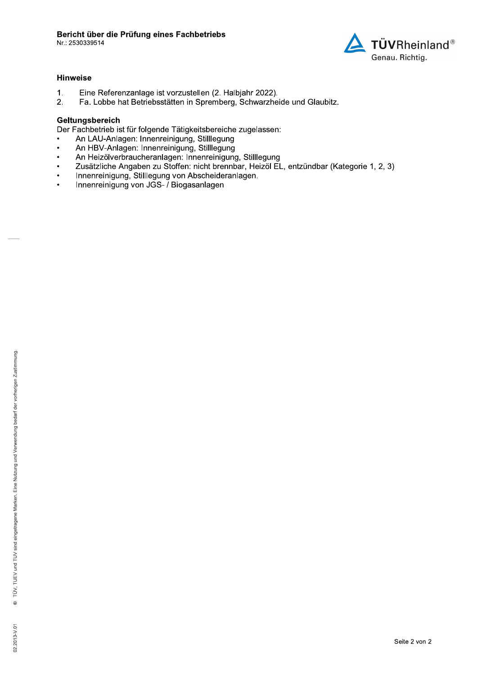

# **Hinweise**

- $1<sub>1</sub>$ Eine Referenzanlage ist vorzustellen (2. Halbjahr 2022).
- $2.$ Fa. Lobbe hat Betriebsstätten in Spremberg, Schwarzheide und Glaubitz.

# Geltungsbereich

Der Fachbetrieb ist für folgende Tätigkeitsbereiche zugelassen:

- An LAU-Anlagen: Innenreinigung, Stilllegung
- An HBV-Anlagen: Innenreinigung, Stilllegung  $\overline{\phantom{a}}$
- An Heizölverbraucheranlagen: Innenreinigung, Stilllegung  $\bullet$
- Zusätzliche Angaben zu Stoffen: nicht brennbar, Heizöl EL, entzündbar (Kategorie 1, 2, 3)  $\bullet$
- Innenreinigung, Stilllegung von Abscheideranlagen.  $\bullet$
- Innenreinigung von JGS- / Biogasanlagen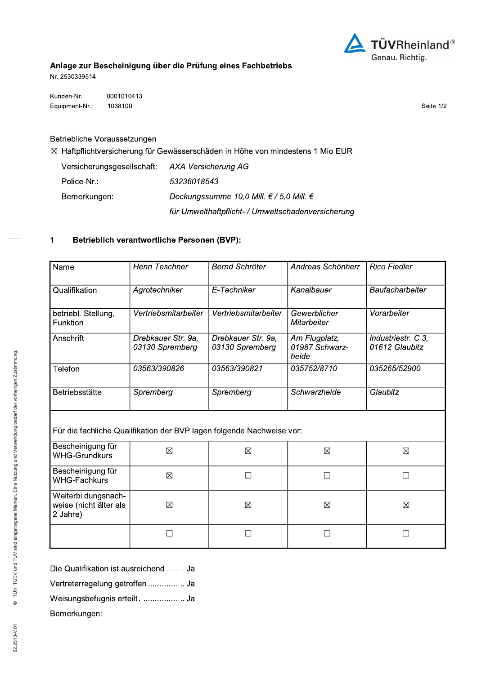

# Anlage zur Bescheinigung über die Prüfung eines Fachbetriebs

Nr. 2530339514

Kunden-Nr. 0001010413 Equipment-Nr.: 1038100

Seite 1/2

Betriebliche Voraussetzungen

⊠ Haftpflichtversicherung für Gewässerschäden in Höhe von mindestens 1 Mio EUR

Versicherungsgesellschaft: AXA Versicherung AG Police-Nr.: 53236018543 Bemerkungen: Deckungssumme 10,0 Mill. € / 5,0 Mill. € für Umwelthaftpflicht- / Umweltschadenversicherung

## $\mathbf 1$ Betrieblich verantwortliche Personen (BVP):

| Name                                                                  | Henri Teschner                        | <b>Bernd Schröter</b>                 | Andreas Schönherr                        | <b>Rico Fiedler</b>                  |  |
|-----------------------------------------------------------------------|---------------------------------------|---------------------------------------|------------------------------------------|--------------------------------------|--|
| Qualifikation                                                         | Agrotechniker                         | E-Techniker                           | Kanalbauer                               | Baufacharbeiter                      |  |
| betriebl. Stellung,<br>Funktion                                       | Vertriebsmitarbeiter                  | Vertriebsmitarbeiter                  | Gewerblicher<br>Mitarbeiter              | Vorarbeiter                          |  |
| Anschrift                                                             | Drebkauer Str. 9a,<br>03130 Spremberg | Drebkauer Str. 9a.<br>03130 Spremberg | Am Flugplatz,<br>01987 Schwarz-<br>heide | Industriestr. C 3,<br>01612 Glaubitz |  |
| Telefon                                                               | 03563/390826                          | 03563/390821                          | 035752/8710                              | 035265/52900                         |  |
| Betriebsstätte                                                        | Spremberg                             | Spremberg                             | Schwarzheide                             | Glaubitz                             |  |
| Für die fachliche Qualifikation der BVP lagen folgende Nachweise vor: |                                       |                                       |                                          |                                      |  |
| Bescheinigung für<br><b>WHG-Grundkurs</b>                             | $\boxtimes$                           | $\boxtimes$                           | $\boxtimes$                              | ⊠                                    |  |
| Bescheinigung für<br><b>WHG-Fachkurs</b>                              | $\boxtimes$                           | П                                     | П                                        |                                      |  |
| Weiterbildungsnach-<br>weise (nicht älter als<br>2 Jahre)             | ⊠                                     | $\boxtimes$                           | $\boxtimes$                              | ⊠                                    |  |
|                                                                       |                                       |                                       | ן ו                                      |                                      |  |

Die Qualifikation ist ausreichend ........ Ja Vertreterregelung getroffen ................. Ja Weisungsbefugnis erteilt..................... Ja Bemerkungen: